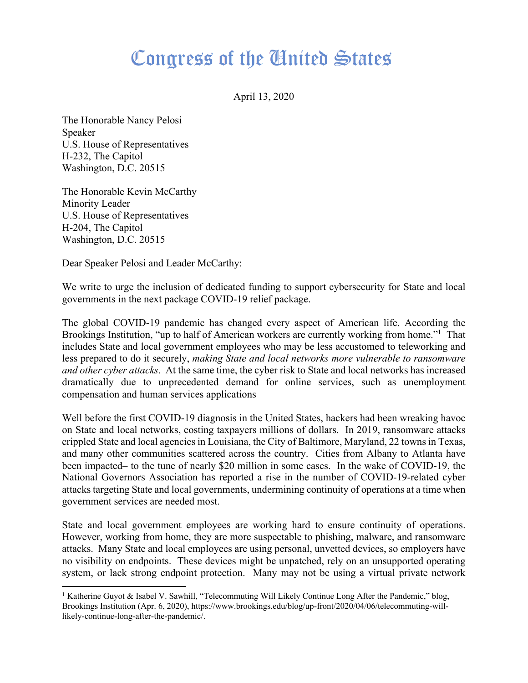## Congress of the Cinited States

April 13, 2020

The Honorable Nancy Pelosi Speaker U.S. House of Representatives H-232, The Capitol Washington, D.C. 20515

The Honorable Kevin McCarthy Minority Leader U.S. House of Representatives H-204, The Capitol Washington, D.C. 20515

Dear Speaker Pelosi and Leader McCarthy:

We write to urge the inclusion of dedicated funding to support cybersecurity for State and local governments in the next package COVID-19 relief package.

The global COVID-19 pandemic has changed every aspect of American life. According the Brookings Institution, "up to half of American workers are currently working from home."<sup>1</sup> That includes State and local government employees who may be less accustomed to teleworking and less prepared to do it securely, *making State and local networks more vulnerable to ransomware and other cyber attacks*. At the same time, the cyber risk to State and local networks has increased dramatically due to unprecedented demand for online services, such as unemployment compensation and human services applications

Well before the first COVID-19 diagnosis in the United States, hackers had been wreaking havoc on State and local networks, costing taxpayers millions of dollars. In 2019, ransomware attacks crippled State and local agencies in Louisiana, the City of Baltimore, Maryland, 22 towns in Texas, and many other communities scattered across the country. Cities from Albany to Atlanta have been impacted– to the tune of nearly \$20 million in some cases. In the wake of COVID-19, the National Governors Association has reported a rise in the number of COVID-19-related cyber attacks targeting State and local governments, undermining continuity of operations at a time when government services are needed most.

State and local government employees are working hard to ensure continuity of operations. However, working from home, they are more suspectable to phishing, malware, and ransomware attacks. Many State and local employees are using personal, unvetted devices, so employers have no visibility on endpoints. These devices might be unpatched, rely on an unsupported operating system, or lack strong endpoint protection. Many may not be using a virtual private network

<sup>&</sup>lt;sup>1</sup> Katherine Guyot & Isabel V. Sawhill, "Telecommuting Will Likely Continue Long After the Pandemic," blog, Brookings Institution (Apr. 6, 2020), https://www.brookings.edu/blog/up-front/2020/04/06/telecommuting-willlikely-continue-long-after-the-pandemic/.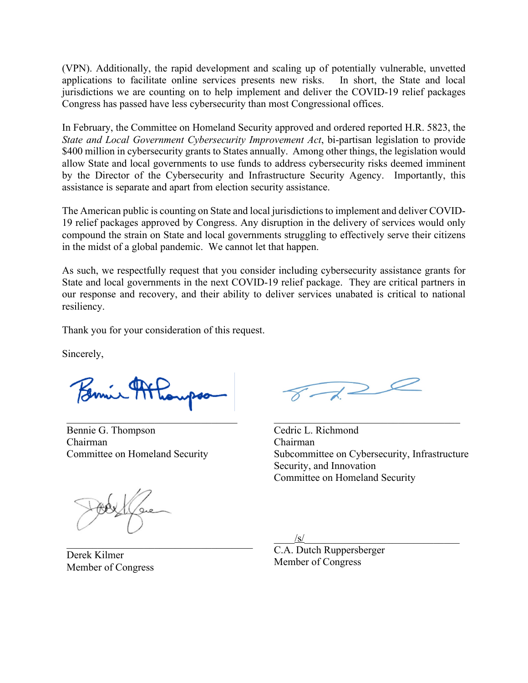(VPN). Additionally, the rapid development and scaling up of potentially vulnerable, unvetted applications to facilitate online services presents new risks. In short, the State and local jurisdictions we are counting on to help implement and deliver the COVID-19 relief packages Congress has passed have less cybersecurity than most Congressional offices.

In February, the Committee on Homeland Security approved and ordered reported H.R. 5823, the *State and Local Government Cybersecurity Improvement Act*, bi-partisan legislation to provide \$400 million in cybersecurity grants to States annually. Among other things, the legislation would allow State and local governments to use funds to address cybersecurity risks deemed imminent by the Director of the Cybersecurity and Infrastructure Security Agency. Importantly, this assistance is separate and apart from election security assistance.

The American public is counting on State and local jurisdictions to implement and deliver COVID-19 relief packages approved by Congress. Any disruption in the delivery of services would only compound the strain on State and local governments struggling to effectively serve their citizens in the midst of a global pandemic. We cannot let that happen.

As such, we respectfully request that you consider including cybersecurity assistance grants for State and local governments in the next COVID-19 relief package. They are critical partners in our response and recovery, and their ability to deliver services unabated is critical to national resiliency.

Thank you for your consideration of this request.

Sincerely,

 $\mathcal{L}_\text{max}$  , where  $\mathcal{L}_\text{max}$  and  $\mathcal{L}_\text{max}$  and  $\mathcal{L}_\text{max}$ 

Bennie G. Thompson Chairman Committee on Homeland Security

Cedric L. Richmond Chairman Subcommittee on Cybersecurity, Infrastructure Security, and Innovation Committee on Homeland Security

 $/\mathbf{s}/\mathbf{s}$ 

C.A. Dutch Ruppersberger Member of Congress

Derek Kilmer Member of Congress